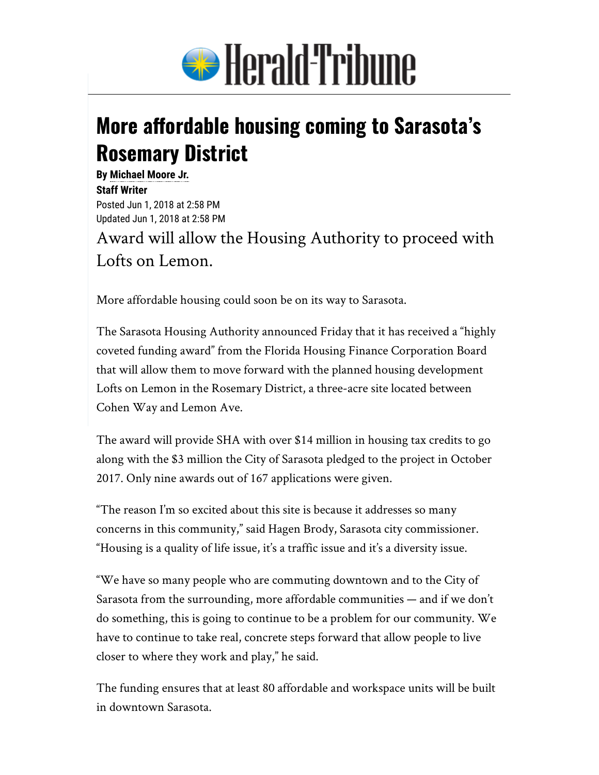

## **More affordable housing coming to Sarasota's Rosemary District**

**By [Michael Moore Jr.](mailto:mmoore@heraldtribune.com) Staff Writer**  Posted Jun 1, 2018 at 2:58 PM Updated Jun 1, 2018 at 2:58 PM

Award will allow the Housing Authority to proceed with Lofts on Lemon.

More affordable housing could soon be on its way to Sarasota.

The Sarasota Housing Authority announced Friday that it has received a "highly coveted funding award" from the Florida Housing Finance Corporation Board that will allow them to move forward with the planned housing development Lofts on Lemon in the Rosemary District, a three-acre site located between Cohen Way and Lemon Ave.

The award will provide SHA with over \$14 million in housing tax credits to go along with the \$3 million the City of Sarasota pledged to the project in October 2017. Only nine awards out of 167 applications were given.

"The reason I'm so excited about this site is because it addresses so many concerns in this community," said Hagen Brody, Sarasota city commissioner. "Housing is a quality of life issue, it's a traffic issue and it's a diversity issue.

"We have so many people who are commuting downtown and to the City of Sarasota from the surrounding, more affordable communities — and if we don't do something, this is going to continue to be a problem for our community. We have to continue to take real, concrete steps forward that allow people to live closer to where they work and play," he said.

The funding ensures that at least 80 affordable and workspace units will be built in downtown Sarasota.